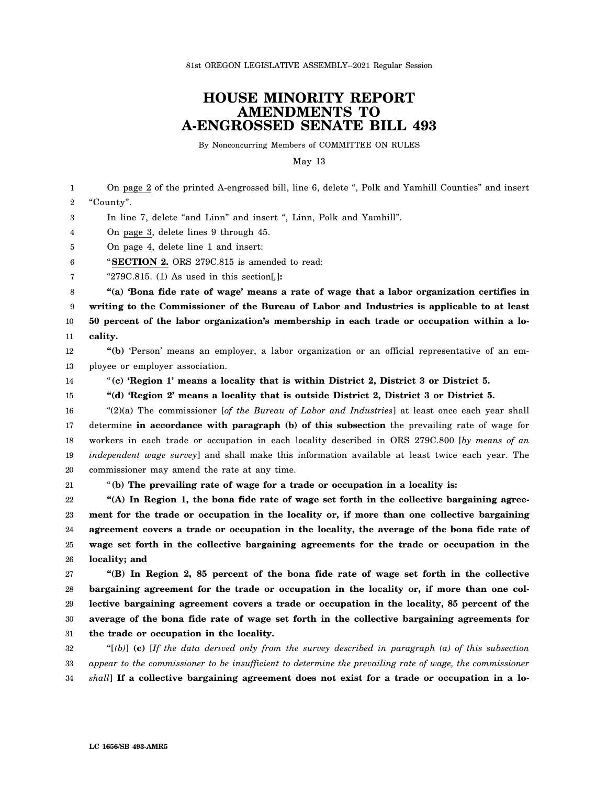## **HOUSE MINORITY REPORT AMENDMENTS TO A-ENGROSSED SENATE BILL 493**

By Nonconcurring Members of COMMITTEE ON RULES

May 13

1 2 3 4 5 6 7 8 9 10 11 12 13 14 15 16 17 18 19 20 21 22 23 24 25 26 27 28 29 30 31 32 33 On page 2 of the printed A-engrossed bill, line 6, delete ", Polk and Yamhill Counties" and insert "County". In line 7, delete "and Linn" and insert ", Linn, Polk and Yamhill". On page 3, delete lines 9 through 45. On page 4, delete line 1 and insert: "**SECTION 2.** ORS 279C.815 is amended to read: "279C.815. (1) As used in this section[*,*]**: "(a) 'Bona fide rate of wage' means a rate of wage that a labor organization certifies in writing to the Commissioner of the Bureau of Labor and Industries is applicable to at least 50 percent of the labor organization's membership in each trade or occupation within a locality. "(b)** 'Person' means an employer, a labor organization or an official representative of an employee or employer association. "**(c) 'Region 1' means a locality that is within District 2, District 3 or District 5. "(d) 'Region 2' means a locality that is outside District 2, District 3 or District 5.** "(2)(a) The commissioner [*of the Bureau of Labor and Industries*] at least once each year shall determine **in accordance with paragraph (b) of this subsection** the prevailing rate of wage for workers in each trade or occupation in each locality described in ORS 279C.800 [*by means of an independent wage survey*] and shall make this information available at least twice each year. The commissioner may amend the rate at any time. "**(b) The prevailing rate of wage for a trade or occupation in a locality is: "(A) In Region 1, the bona fide rate of wage set forth in the collective bargaining agreement for the trade or occupation in the locality or, if more than one collective bargaining agreement covers a trade or occupation in the locality, the average of the bona fide rate of wage set forth in the collective bargaining agreements for the trade or occupation in the locality; and "(B) In Region 2, 85 percent of the bona fide rate of wage set forth in the collective bargaining agreement for the trade or occupation in the locality or, if more than one collective bargaining agreement covers a trade or occupation in the locality, 85 percent of the average of the bona fide rate of wage set forth in the collective bargaining agreements for the trade or occupation in the locality.** "[*(b)*] **(c)** [*If the data derived only from the survey described in paragraph (a) of this subsection appear to the commissioner to be insufficient to determine the prevailing rate of wage, the commissioner*

34 *shall*] **If a collective bargaining agreement does not exist for a trade or occupation in a lo-**